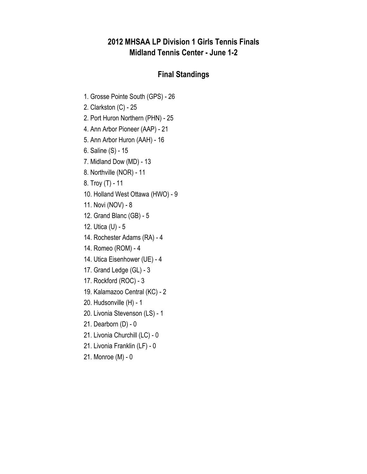## **2012 MHSAA LP Division 1 Girls Tennis Finals Midland Tennis Center - June 1-2**

## **Final Standings**

- 1. Grosse Pointe South (GPS) 26
- 2. Clarkston (C) 25
- 2. Port Huron Northern (PHN) 25
- 4. Ann Arbor Pioneer (AAP) 21
- 5. Ann Arbor Huron (AAH) 16
- 6. Saline (S) 15
- 7. Midland Dow (MD) 13
- 8. Northville (NOR) 11
- 8. Troy (T) 11
- 10. Holland West Ottawa (HWO) 9
- 11. Novi (NOV) 8
- 12. Grand Blanc (GB) 5
- 12. Utica (U) 5
- 14. Rochester Adams (RA) 4
- 14. Romeo (ROM) 4
- 14. Utica Eisenhower (UE) 4
- 17. Grand Ledge (GL) 3
- 17. Rockford (ROC) 3
- 19. Kalamazoo Central (KC) 2
- 20. Hudsonville (H) 1
- 20. Livonia Stevenson (LS) 1
- 21. Dearborn (D) 0
- 21. Livonia Churchill (LC) 0
- 21. Livonia Franklin (LF) 0
- 21. Monroe (M) 0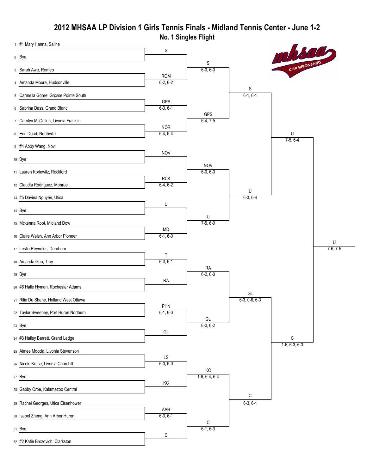## **No. 1 Singles Flight 2012 MHSAA LP Division 1 Girls Tennis Finals - Midland Tennis Center - June 1-2**

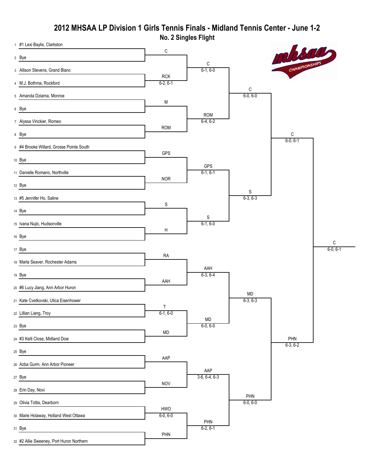#### **2012 MHSAA LP Division 1 Girls Tennis Finals - Midland Tennis Center - June 1-2 No. 2 Singles Flight**

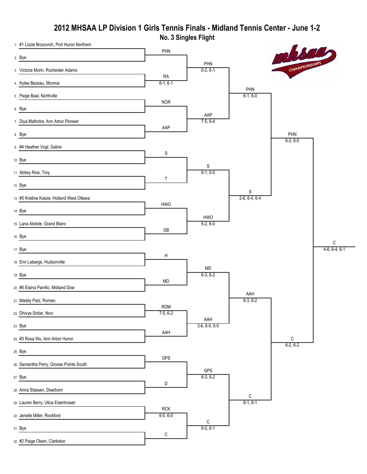#### **No. 3 Singles Flight 2012 MHSAA LP Division 1 Girls Tennis Finals - Midland Tennis Center - June 1-2**

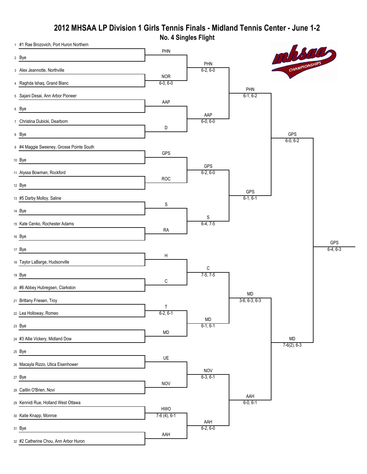#### **2012 MHSAA LP Division 1 Girls Tennis Finals - Midland Tennis Center - June 1-2 No. 4 Singles Flight**

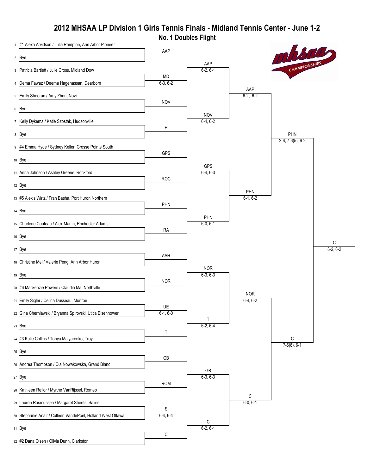# **2012 MHSAA LP Division 1 Girls Tennis Finals - Midland Tennis Center - June 1-2**

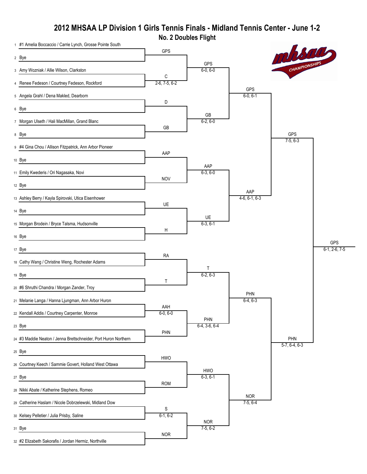# **2012 MHSAA LP Division 1 Girls Tennis Finals - Midland Tennis Center - June 1-2**



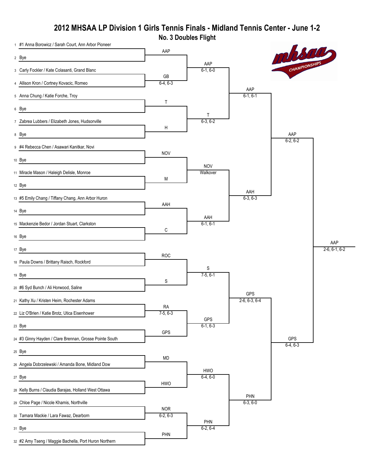# **2012 MHSAA LP Division 1 Girls Tennis Finals - Midland Tennis Center - June 1-2**